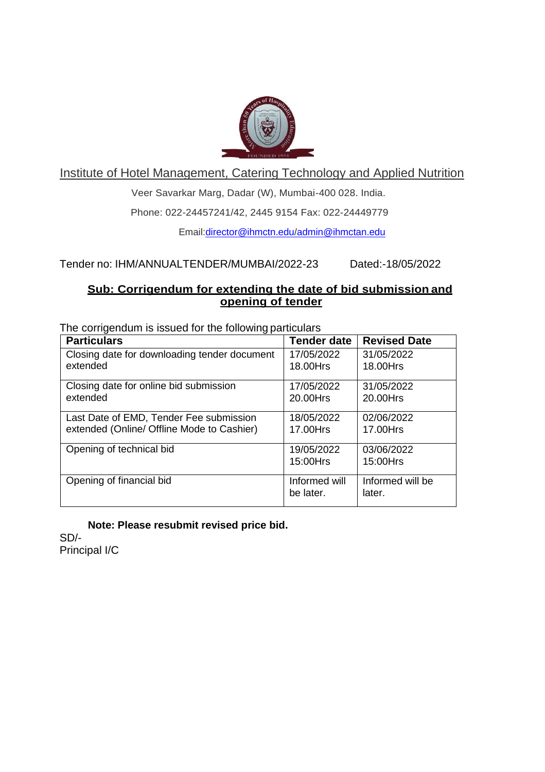

Institute of Hotel Management, Catering Technology and Applied Nutrition

Veer Savarkar Marg, Dadar (W), Mumbai-400 028. India.

Phone: 022-24457241/42, 2445 9154 Fax: 022-24449779

Email:director@ihmctn.edu/admin@ihmctan.edu

Tender no: IHM/ANNUALTENDER/MUMBAI/2022-23 Dated:-18/05/2022

## **Sub: Corrigendum for extending the date of bid submission and opening of tender**

The corrigendum is issued for the following particulars

| <b>Particulars</b>                           | <b>Tender date</b> | <b>Revised Date</b> |
|----------------------------------------------|--------------------|---------------------|
| Closing date for downloading tender document | 17/05/2022         | 31/05/2022          |
| extended                                     | 18.00Hrs           | 18.00Hrs            |
| Closing date for online bid submission       | 17/05/2022         | 31/05/2022          |
| extended                                     | 20.00Hrs           | 20.00Hrs            |
| Last Date of EMD, Tender Fee submission      | 18/05/2022         | 02/06/2022          |
| extended (Online/ Offline Mode to Cashier)   | 17.00Hrs           | 17.00Hrs            |
| Opening of technical bid                     | 19/05/2022         | 03/06/2022          |
|                                              | 15:00Hrs           | 15:00Hrs            |
| Opening of financial bid                     | Informed will      | Informed will be    |
|                                              | be later.          | later.              |

**Note: Please resubmit revised price bid.** 

SD/- Principal I/C